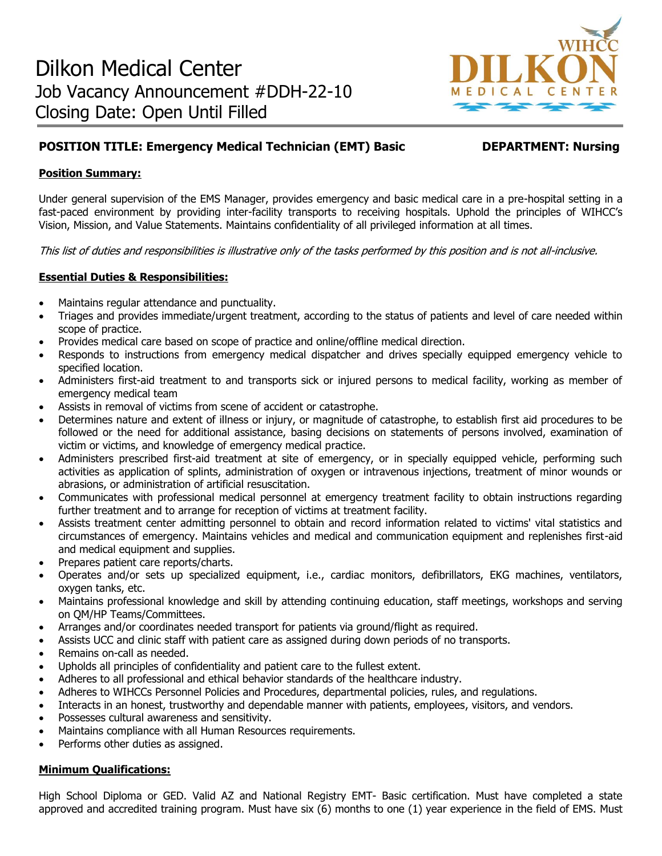

# **POSITION TITLE: Emergency Medical Technician (EMT) Basic DEPARTMENT: Nursing**

# **Position Summary:**

Under general supervision of the EMS Manager, provides emergency and basic medical care in a pre-hospital setting in a fast-paced environment by providing inter-facility transports to receiving hospitals. Uphold the principles of WIHCC's Vision, Mission, and Value Statements. Maintains confidentiality of all privileged information at all times.

This list of duties and responsibilities is illustrative only of the tasks performed by this position and is not all-inclusive.

# **Essential Duties & Responsibilities:**

- Maintains regular attendance and punctuality.
- Triages and provides immediate/urgent treatment, according to the status of patients and level of care needed within scope of practice.
- Provides medical care based on scope of practice and online/offline medical direction.
- Responds to instructions from emergency medical dispatcher and drives specially equipped emergency vehicle to specified location.
- Administers first-aid treatment to and transports sick or injured persons to medical facility, working as member of emergency medical team
- Assists in removal of victims from scene of accident or catastrophe.
- Determines nature and extent of illness or injury, or magnitude of catastrophe, to establish first aid procedures to be followed or the need for additional assistance, basing decisions on statements of persons involved, examination of victim or victims, and knowledge of emergency medical practice.
- Administers prescribed first-aid treatment at site of emergency, or in specially equipped vehicle, performing such activities as application of splints, administration of oxygen or intravenous injections, treatment of minor wounds or abrasions, or administration of artificial resuscitation.
- Communicates with professional medical personnel at emergency treatment facility to obtain instructions regarding further treatment and to arrange for reception of victims at treatment facility.
- Assists treatment center admitting personnel to obtain and record information related to victims' vital statistics and circumstances of emergency. Maintains vehicles and medical and communication equipment and replenishes first-aid and medical equipment and supplies.
- Prepares patient care reports/charts.
- Operates and/or sets up specialized equipment, i.e., cardiac monitors, defibrillators, EKG machines, ventilators, oxygen tanks, etc.
- Maintains professional knowledge and skill by attending continuing education, staff meetings, workshops and serving on QM/HP Teams/Committees.
- Arranges and/or coordinates needed transport for patients via ground/flight as required.
- Assists UCC and clinic staff with patient care as assigned during down periods of no transports.
- Remains on-call as needed.
- Upholds all principles of confidentiality and patient care to the fullest extent.
- Adheres to all professional and ethical behavior standards of the healthcare industry.
- Adheres to WIHCCs Personnel Policies and Procedures, departmental policies, rules, and regulations.
- Interacts in an honest, trustworthy and dependable manner with patients, employees, visitors, and vendors.
- Possesses cultural awareness and sensitivity.
- Maintains compliance with all Human Resources requirements.
- Performs other duties as assigned.

# **Minimum Qualifications:**

High School Diploma or GED. Valid AZ and National Registry EMT- Basic certification. Must have completed a state approved and accredited training program. Must have six (6) months to one (1) year experience in the field of EMS. Must